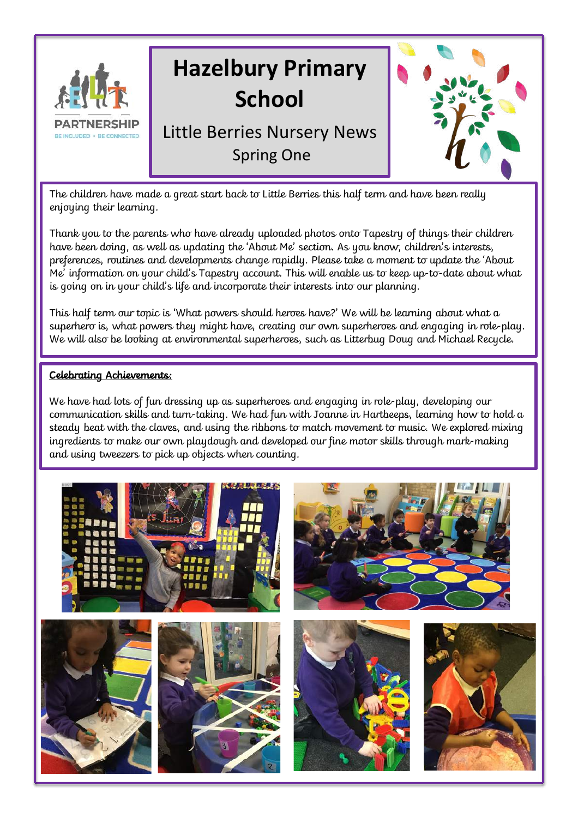

The children have made a great start back to Little Berries this half term and have been really enjoying their learning.

Thank you to the parents who have already uploaded photos onto Tapestry of things their children have been doing, as well as updating the 'About Me' section. As you know, children's interests, preferences, routines and developments change rapidly. Please take a moment to update the 'About Me' information on your child's Tapestry account. This will enable us to keep up-to-date about what is going on in your child's life and incorporate their interests into our planning.

This half term our topic is 'What powers should heroes have?' We will be learning about what a superhero is, what powers they might have, creating our own superheroes and engaging in role-play. We will also be looking at environmental superheroes, such as Litterbug Doug and Michael Recycle.

#### Celebrating Achievements:

We have had lots of fun dressing up as superheroes and engaging in role-play, developing our communication skills and turn-taking. We had fun with Joanne in Hartbeeps, learning how to hold a steady beat with the claves, and using the ribbons to match movement to music. We explored mixing ingredients to make our own playdough and developed our fine motor skills through mark-making and using tweezers to pick up objects when counting.